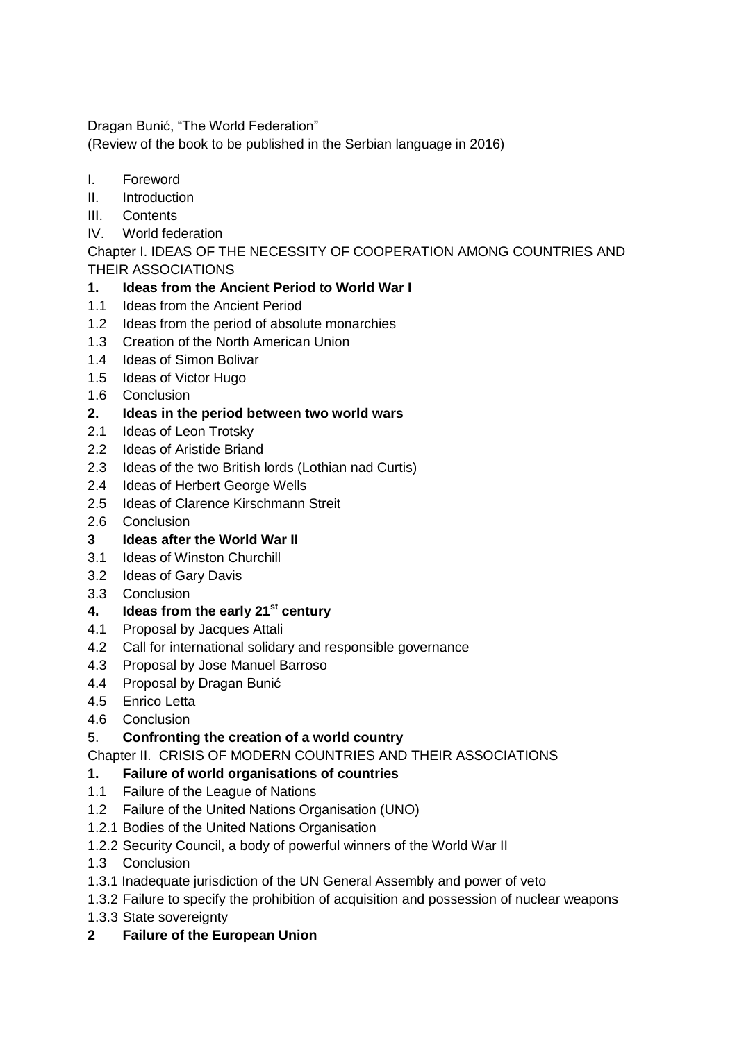Dragan Bunić, "The World Federation"

(Review of the book to be published in the Serbian language in 2016)

- I. Foreword
- II. Introduction
- III. Contents
- IV. World federation

Chapter I. IDEAS OF THE NECESSITY OF COOPERATION AMONG COUNTRIES AND THEIR ASSOCIATIONS

## **1. Ideas from the Ancient Period to World War I**

- 1.1 Ideas from the Ancient Period
- 1.2 Ideas from the period of absolute monarchies
- 1.3 Creation of the North American Union
- 1.4 Ideas of Simon Bolivar
- 1.5 Ideas of Victor Hugo
- 1.6 Conclusion
- **2. Ideas in the period between two world wars**
- 2.1 Ideas of Leon Trotsky
- 2.2 Ideas of Aristide Briand
- 2.3 Ideas of the two British lords (Lothian nad Curtis)
- 2.4 Ideas of Herbert George Wells
- 2.5 Ideas of Clarence Kirschmann Streit
- 2.6 Conclusion
- **3 Ideas after the World War II**
- 3.1 Ideas of Winston Churchill
- 3.2 Ideas of Gary Davis
- 3.3 Conclusion

#### **4. Ideas from the early 21st century**

- 4.1 Proposal by Jacques Attali
- 4.2 Call for international solidary and responsible governance
- 4.3 Proposal by Jose Manuel Barroso
- 4.4 Proposal by Dragan Bunić
- 4.5 Enrico Letta
- 4.6 Conclusion

# 5. **Confronting the creation of a world country**

Chapter II. CRISIS OF MODERN COUNTRIES AND THEIR ASSOCIATIONS

# **1. Failure of world organisations of countries**

- 1.1 Failure of the League of Nations
- 1.2 Failure of the United Nations Organisation (UNO)
- 1.2.1 Bodies of the United Nations Organisation
- 1.2.2 Security Council, a body of powerful winners of the World War II
- 1.3 Conclusion
- 1.3.1 Inadequate jurisdiction of the UN General Assembly and power of veto
- 1.3.2 Failure to specify the prohibition of acquisition and possession of nuclear weapons
- 1.3.3 State sovereignty
- **2 Failure of the European Union**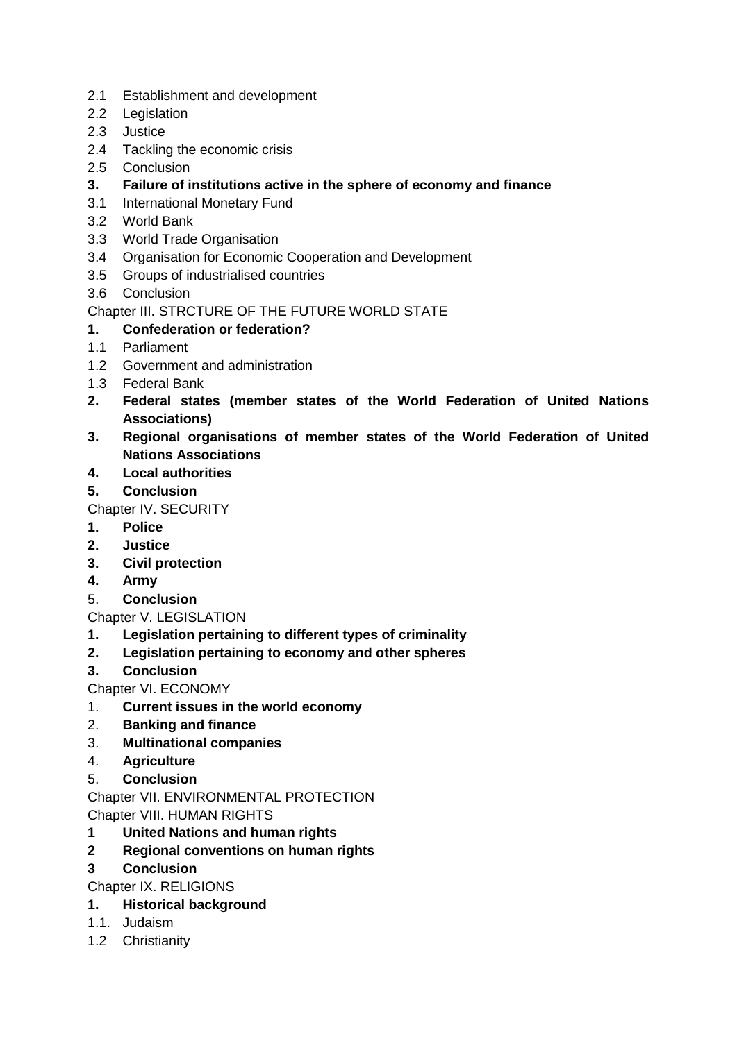- 2.1 Establishment and development
- 2.2 Legislation
- 2.3 Justice
- 2.4 Tackling the economic crisis
- 2.5 Conclusion
- **3. Failure of institutions active in the sphere of economy and finance**
- 3.1 International Monetary Fund
- 3.2 World Bank
- 3.3 World Trade Organisation
- 3.4 Organisation for Economic Cooperation and Development
- 3.5 Groups of industrialised countries
- 3.6 Conclusion

## Chapter III. STRCTURE OF THE FUTURE WORLD STATE

# **1. Confederation or federation?**

- 1.1 Parliament
- 1.2 Government and administration
- 1.3 Federal Bank
- **2. Federal states (member states of the World Federation of United Nations Associations)**
- **3. Regional organisations of member states of the World Federation of United Nations Associations**
- **4. Local authorities**
- **5. Conclusion**

Chapter IV. SECURITY

- **1. Police**
- **2. Justice**
- **3. Civil protection**
- **4. Army**
- 5. **Conclusion**

# Chapter V. LEGISLATION

- **1. Legislation pertaining to different types of criminality**
- **2. Legislation pertaining to economy and other spheres**
- **3. Conclusion**
- Chapter VI. ECONOMY
- 1. **Current issues in the world economy**
- 2. **Banking and finance**
- 3. **Multinational companies**
- 4. **Agriculture**
- 5. **Conclusion**

Chapter VII. ENVIRONMENTAL PROTECTION Chapter VIII. HUMAN RIGHTS

- **1 United Nations and human rights**
- **2 Regional conventions on human rights**
- **3 Conclusion**
- Chapter IX. RELIGIONS
- **1. Historical background**
- 1.1. Judaism
- 1.2 Christianity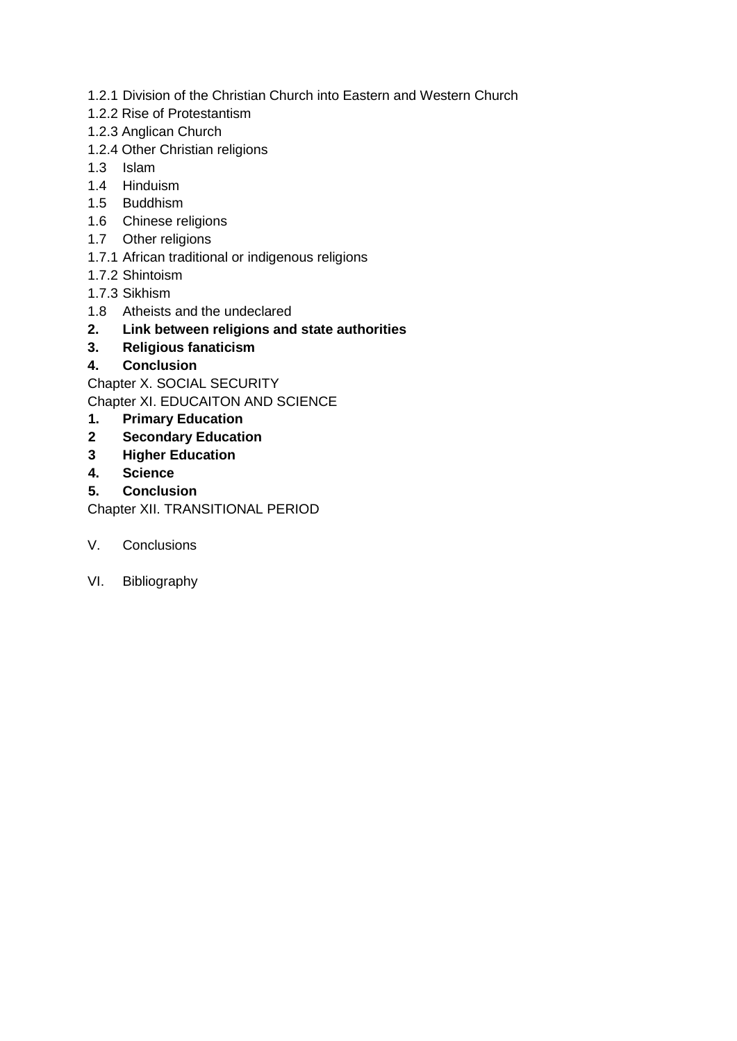- 1.2.1 Division of the Christian Church into Eastern and Western Church
- 1.2.2 Rise of Protestantism
- 1.2.3 Anglican Church
- 1.2.4 Other Christian religions
- 1.3 Islam
- 1.4 Hinduism
- 1.5 Buddhism
- 1.6 Chinese religions
- 1.7 Other religions
- 1.7.1 African traditional or indigenous religions
- 1.7.2 Shintoism
- 1.7.3 Sikhism
- 1.8 Atheists and the undeclared
- **2. Link between religions and state authorities**
- **3. Religious fanaticism**
- **4. Conclusion**

Chapter X. SOCIAL SECURITY

Chapter XI. EDUCAITON AND SCIENCE

## **1. Primary Education**

- **2 Secondary Education**
- **3 Higher Education**
- **4. Science**
- **5. Conclusion**

Chapter XII. TRANSITIONAL PERIOD

- V. Conclusions
- VI. Bibliography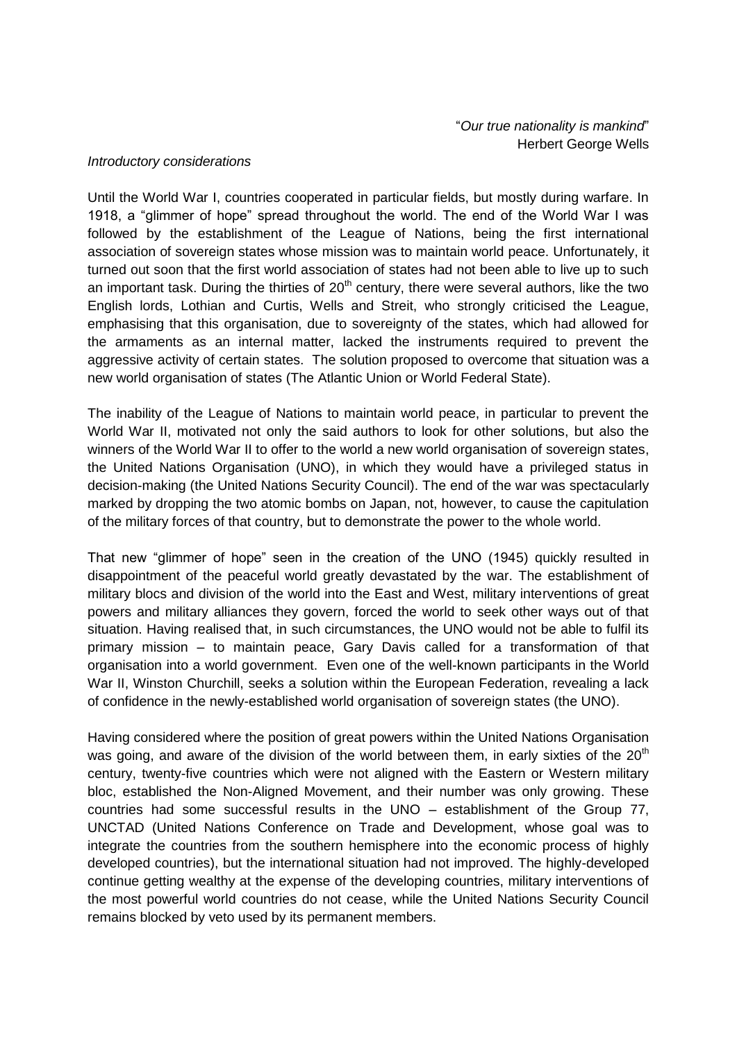#### *Introductory considerations*

Until the World War I, countries cooperated in particular fields, but mostly during warfare. In 1918, a "glimmer of hope" spread throughout the world. The end of the World War I was followed by the establishment of the League of Nations, being the first international association of sovereign states whose mission was to maintain world peace. Unfortunately, it turned out soon that the first world association of states had not been able to live up to such an important task. During the thirties of  $20<sup>th</sup>$  century, there were several authors, like the two English lords, Lothian and Curtis, Wells and Streit, who strongly criticised the League, emphasising that this organisation, due to sovereignty of the states, which had allowed for the armaments as an internal matter, lacked the instruments required to prevent the aggressive activity of certain states. The solution proposed to overcome that situation was a new world organisation of states (The Atlantic Union or World Federal State).

The inability of the League of Nations to maintain world peace, in particular to prevent the World War II, motivated not only the said authors to look for other solutions, but also the winners of the World War II to offer to the world a new world organisation of sovereign states, the United Nations Organisation (UNO), in which they would have a privileged status in decision-making (the United Nations Security Council). The end of the war was spectacularly marked by dropping the two atomic bombs on Japan, not, however, to cause the capitulation of the military forces of that country, but to demonstrate the power to the whole world.

That new "glimmer of hope" seen in the creation of the UNO (1945) quickly resulted in disappointment of the peaceful world greatly devastated by the war. The establishment of military blocs and division of the world into the East and West, military interventions of great powers and military alliances they govern, forced the world to seek other ways out of that situation. Having realised that, in such circumstances, the UNO would not be able to fulfil its primary mission – to maintain peace, Gary Davis called for a transformation of that organisation into a world government. Even one of the well-known participants in the World War II, Winston Churchill, seeks a solution within the European Federation, revealing a lack of confidence in the newly-established world organisation of sovereign states (the UNO).

Having considered where the position of great powers within the United Nations Organisation was going, and aware of the division of the world between them, in early sixties of the  $20<sup>th</sup>$ century, twenty-five countries which were not aligned with the Eastern or Western military bloc, established the Non-Aligned Movement, and their number was only growing. These countries had some successful results in the UNO – establishment of the Group 77, UNCTAD (United Nations Conference on Trade and Development, whose goal was to integrate the countries from the southern hemisphere into the economic process of highly developed countries), but the international situation had not improved. The highly-developed continue getting wealthy at the expense of the developing countries, military interventions of the most powerful world countries do not cease, while the United Nations Security Council remains blocked by veto used by its permanent members.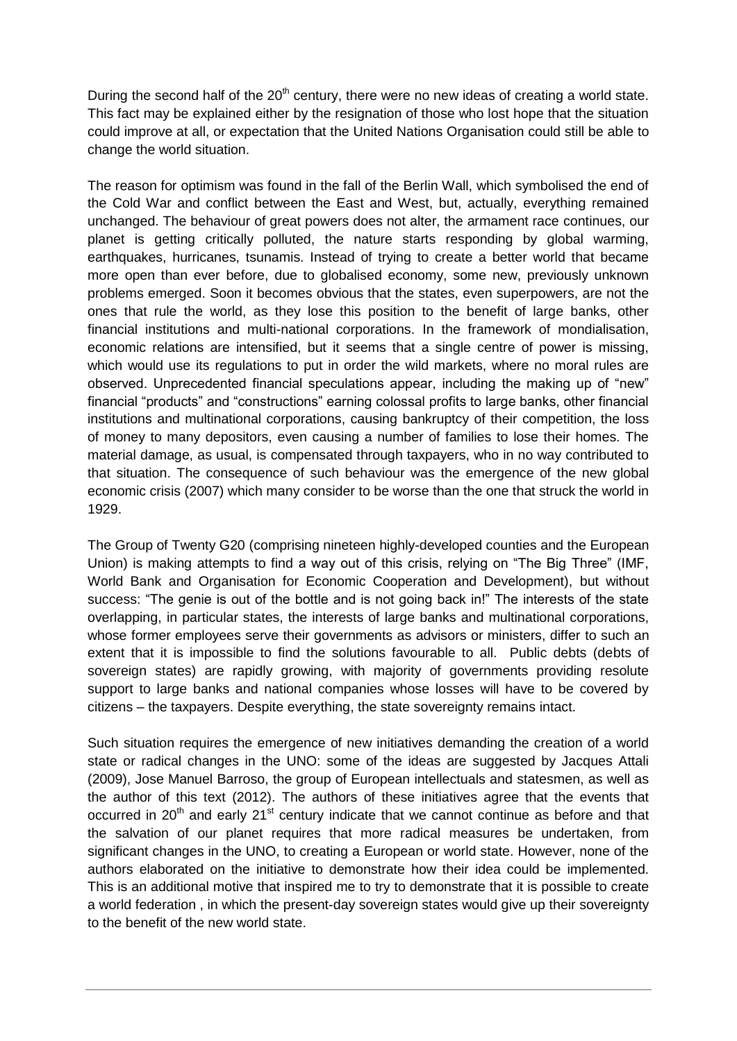During the second half of the  $20<sup>th</sup>$  century, there were no new ideas of creating a world state. This fact may be explained either by the resignation of those who lost hope that the situation could improve at all, or expectation that the United Nations Organisation could still be able to change the world situation.

The reason for optimism was found in the fall of the Berlin Wall, which symbolised the end of the Cold War and conflict between the East and West, but, actually, everything remained unchanged. The behaviour of great powers does not alter, the armament race continues, our planet is getting critically polluted, the nature starts responding by global warming, earthquakes, hurricanes, tsunamis. Instead of trying to create a better world that became more open than ever before, due to globalised economy, some new, previously unknown problems emerged. Soon it becomes obvious that the states, even superpowers, are not the ones that rule the world, as they lose this position to the benefit of large banks, other financial institutions and multi-national corporations. In the framework of mondialisation, economic relations are intensified, but it seems that a single centre of power is missing, which would use its regulations to put in order the wild markets, where no moral rules are observed. Unprecedented financial speculations appear, including the making up of "new" financial "products" and "constructions" earning colossal profits to large banks, other financial institutions and multinational corporations, causing bankruptcy of their competition, the loss of money to many depositors, even causing a number of families to lose their homes. The material damage, as usual, is compensated through taxpayers, who in no way contributed to that situation. The consequence of such behaviour was the emergence of the new global economic crisis (2007) which many consider to be worse than the one that struck the world in 1929.

The Group of Twenty G20 (comprising nineteen highly-developed counties and the European Union) is making attempts to find a way out of this crisis, relying on "The Big Three" (IMF, World Bank and Organisation for Economic Cooperation and Development), but without success: "The genie is out of the bottle and is not going back in!" The interests of the state overlapping, in particular states, the interests of large banks and multinational corporations, whose former employees serve their governments as advisors or ministers, differ to such an extent that it is impossible to find the solutions favourable to all. Public debts (debts of sovereign states) are rapidly growing, with majority of governments providing resolute support to large banks and national companies whose losses will have to be covered by citizens – the taxpayers. Despite everything, the state sovereignty remains intact.

Such situation requires the emergence of new initiatives demanding the creation of a world state or radical changes in the UNO: some of the ideas are suggested by Jacques Attali (2009), Jose Manuel Barroso, the group of European intellectuals and statesmen, as well as the author of this text (2012). The authors of these initiatives agree that the events that occurred in 20<sup>th</sup> and early 21<sup>st</sup> century indicate that we cannot continue as before and that the salvation of our planet requires that more radical measures be undertaken, from significant changes in the UNO, to creating a European or world state. However, none of the authors elaborated on the initiative to demonstrate how their idea could be implemented. This is an additional motive that inspired me to try to demonstrate that it is possible to create a world federation , in which the present-day sovereign states would give up their sovereignty to the benefit of the new world state.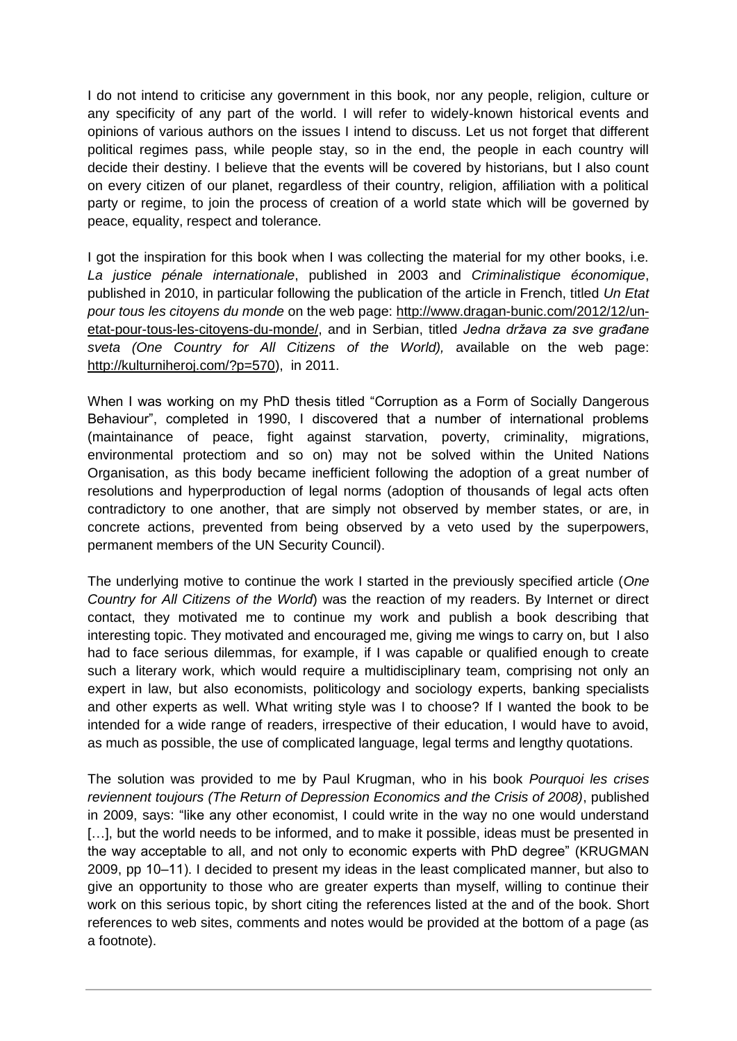I do not intend to criticise any government in this book, nor any people, religion, culture or any specificity of any part of the world. I will refer to widely-known historical events and opinions of various authors on the issues I intend to discuss. Let us not forget that different political regimes pass, while people stay, so in the end, the people in each country will decide their destiny. I believe that the events will be covered by historians, but I also count on every citizen of our planet, regardless of their country, religion, affiliation with a political party or regime, to join the process of creation of a world state which will be governed by peace, equality, respect and tolerance.

I got the inspiration for this book when I was collecting the material for my other books, i.e. *La justice pénale internationale*, published in 2003 and *Criminalistique économique*, published in 2010, in particular following the publication of the article in French, titled *Un Etat pour tous les citoyens du monde* on the web page: [http://www.dragan-bunic.com/2012/12/un](http://www.dragan-bunic.com/2012/12/un-etat-pour-tous-les-citoyens-du-monde/)[etat-pour-tous-les-citoyens-du-monde/,](http://www.dragan-bunic.com/2012/12/un-etat-pour-tous-les-citoyens-du-monde/) and in Serbian, titled *Jedna država za sve građane sveta (One Country for All Citizens of the World),* available on the web page: [http://kulturniheroj.com/?p=570\)](http://kulturniheroj.com/?p=570), in 2011.

When I was working on my PhD thesis titled "Corruption as a Form of Socially Dangerous Behaviour", completed in 1990, I discovered that a number of international problems (maintainance of peace, fight against starvation, poverty, criminality, migrations, environmental protectiom and so on) may not be solved within the United Nations Organisation, as this body became inefficient following the adoption of a great number of resolutions and hyperproduction of legal norms (adoption of thousands of legal acts often contradictory to one another, that are simply not observed by member states, or are, in concrete actions, prevented from being observed by a veto used by the superpowers, permanent members of the UN Security Council).

The underlying motive to continue the work I started in the previously specified article (*One Country for All Citizens of the World*) was the reaction of my readers. By Internet or direct contact, they motivated me to continue my work and publish a book describing that interesting topic. They motivated and encouraged me, giving me wings to carry on, but I also had to face serious dilemmas, for example, if I was capable or qualified enough to create such a literary work, which would require a multidisciplinary team, comprising not only an expert in law, but also economists, politicology and sociology experts, banking specialists and other experts as well. What writing style was I to choose? If I wanted the book to be intended for a wide range of readers, irrespective of their education, I would have to avoid, as much as possible, the use of complicated language, legal terms and lengthy quotations.

The solution was provided to me by Paul Krugman, who in his book *Pourquoi les crises reviennent toujours (The Return of Depression Economics and the Crisis of 2008)*, published in 2009, says: "like any other economist, I could write in the way no one would understand [...], but the world needs to be informed, and to make it possible, ideas must be presented in the way acceptable to all, and not only to economic experts with PhD degree" (KRUGMAN 2009, pp 10‒11). I decided to present my ideas in the least complicated manner, but also to give an opportunity to those who are greater experts than myself, willing to continue their work on this serious topic, by short citing the references listed at the and of the book. Short references to web sites, comments and notes would be provided at the bottom of a page (as a footnote).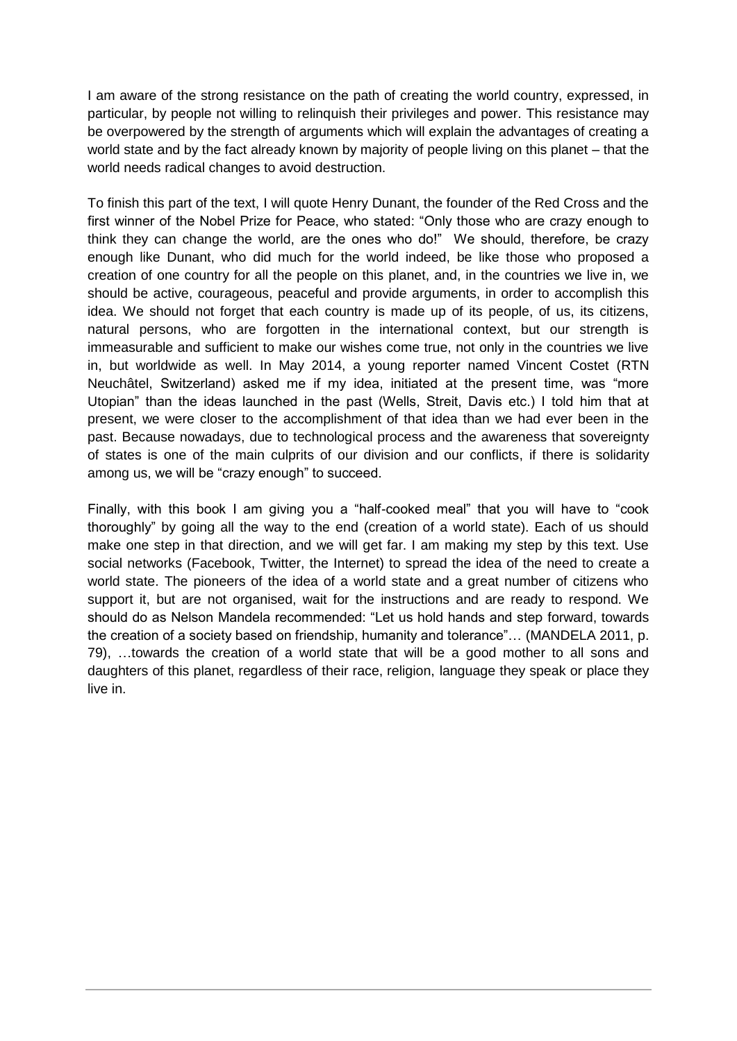I am aware of the strong resistance on the path of creating the world country, expressed, in particular, by people not willing to relinquish their privileges and power. This resistance may be overpowered by the strength of arguments which will explain the advantages of creating a world state and by the fact already known by majority of people living on this planet – that the world needs radical changes to avoid destruction.

To finish this part of the text, I will quote Henry Dunant, the founder of the Red Cross and the first winner of the Nobel Prize for Peace, who stated: "Only those who are crazy enough to think they can change the world, are the ones who do!" We should, therefore, be crazy enough like Dunant, who did much for the world indeed, be like those who proposed a creation of one country for all the people on this planet, and, in the countries we live in, we should be active, courageous, peaceful and provide arguments, in order to accomplish this idea. We should not forget that each country is made up of its people, of us, its citizens, natural persons, who are forgotten in the international context, but our strength is immeasurable and sufficient to make our wishes come true, not only in the countries we live in, but worldwide as well. In May 2014, a young reporter named Vincent Costet (RTN Neuchâtel, Switzerland) asked me if my idea, initiated at the present time, was "more Utopian" than the ideas launched in the past (Wells, Streit, Davis etc.) I told him that at present, we were closer to the accomplishment of that idea than we had ever been in the past. Because nowadays, due to technological process and the awareness that sovereignty of states is one of the main culprits of our division and our conflicts, if there is solidarity among us, we will be "crazy enough" to succeed.

Finally, with this book I am giving you a "half-cooked meal" that you will have to "cook thoroughly" by going all the way to the end (creation of a world state). Each of us should make one step in that direction, and we will get far. I am making my step by this text. Use social networks (Facebook, Twitter, the Internet) to spread the idea of the need to create a world state. The pioneers of the idea of a world state and a great number of citizens who support it, but are not organised, wait for the instructions and are ready to respond. We should do as Nelson Mandela recommended: "Let us hold hands and step forward, towards the creation of a society based on friendship, humanity and tolerance"… (MANDELA 2011, p. 79), …towards the creation of a world state that will be a good mother to all sons and daughters of this planet, regardless of their race, religion, language they speak or place they live in.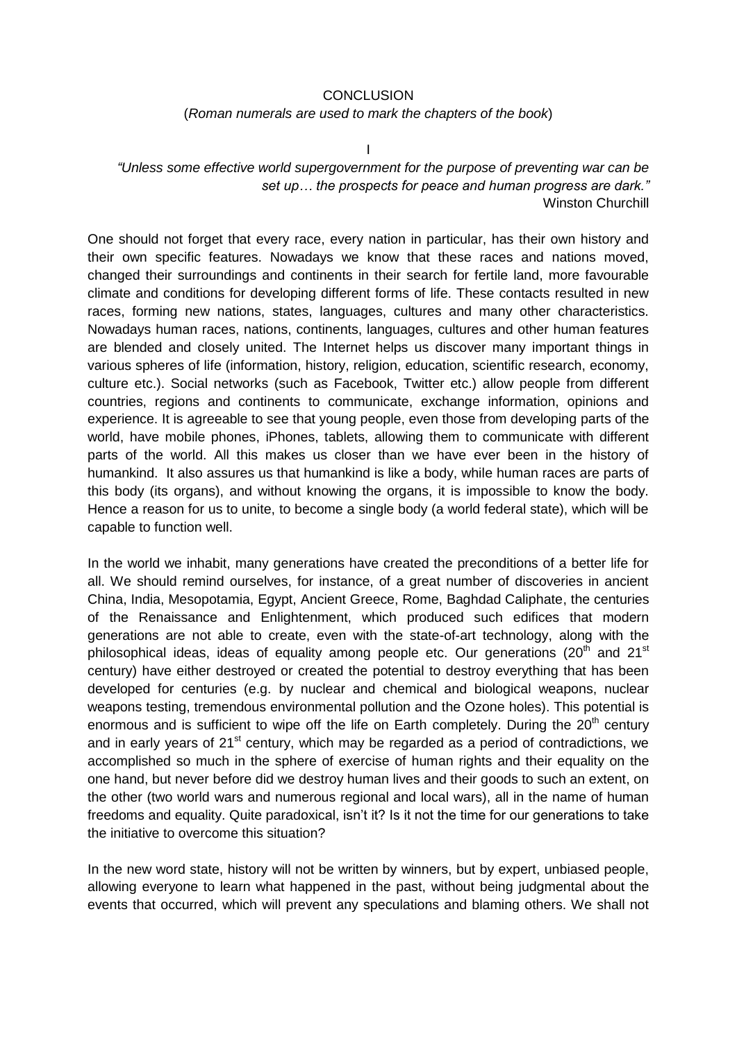#### **CONCLUSION**

(*Roman numerals are used to mark the chapters of the book*)

I

*"Unless some effective world supergovernment for the purpose of preventing war can be set up… the prospects for peace and human progress are dark."* Winston Churchill

One should not forget that every race, every nation in particular, has their own history and their own specific features. Nowadays we know that these races and nations moved, changed their surroundings and continents in their search for fertile land, more favourable climate and conditions for developing different forms of life. These contacts resulted in new races, forming new nations, states, languages, cultures and many other characteristics. Nowadays human races, nations, continents, languages, cultures and other human features are blended and closely united. The Internet helps us discover many important things in various spheres of life (information, history, religion, education, scientific research, economy, culture etc.). Social networks (such as Facebook, Twitter etc.) allow people from different countries, regions and continents to communicate, exchange information, opinions and experience. It is agreeable to see that young people, even those from developing parts of the world, have mobile phones, iPhones, tablets, allowing them to communicate with different parts of the world. All this makes us closer than we have ever been in the history of humankind. It also assures us that humankind is like a body, while human races are parts of this body (its organs), and without knowing the organs, it is impossible to know the body. Hence a reason for us to unite, to become a single body (a world federal state), which will be capable to function well.

In the world we inhabit, many generations have created the preconditions of a better life for all. We should remind ourselves, for instance, of a great number of discoveries in ancient China, India, Mesopotamia, Egypt, Ancient Greece, Rome, Baghdad Caliphate, the centuries of the Renaissance and Enlightenment, which produced such edifices that modern generations are not able to create, even with the state-of-art technology, along with the philosophical ideas, ideas of equality among people etc. Our generations (20<sup>th</sup> and 21<sup>st</sup> century) have either destroyed or created the potential to destroy everything that has been developed for centuries (e.g. by nuclear and chemical and biological weapons, nuclear weapons testing, tremendous environmental pollution and the Ozone holes). This potential is enormous and is sufficient to wipe off the life on Earth completely. During the  $20<sup>th</sup>$  century and in early years of  $21<sup>st</sup>$  century, which may be regarded as a period of contradictions, we accomplished so much in the sphere of exercise of human rights and their equality on the one hand, but never before did we destroy human lives and their goods to such an extent, on the other (two world wars and numerous regional and local wars), all in the name of human freedoms and equality. Quite paradoxical, isn't it? Is it not the time for our generations to take the initiative to overcome this situation?

In the new word state, history will not be written by winners, but by expert, unbiased people, allowing everyone to learn what happened in the past, without being judgmental about the events that occurred, which will prevent any speculations and blaming others. We shall not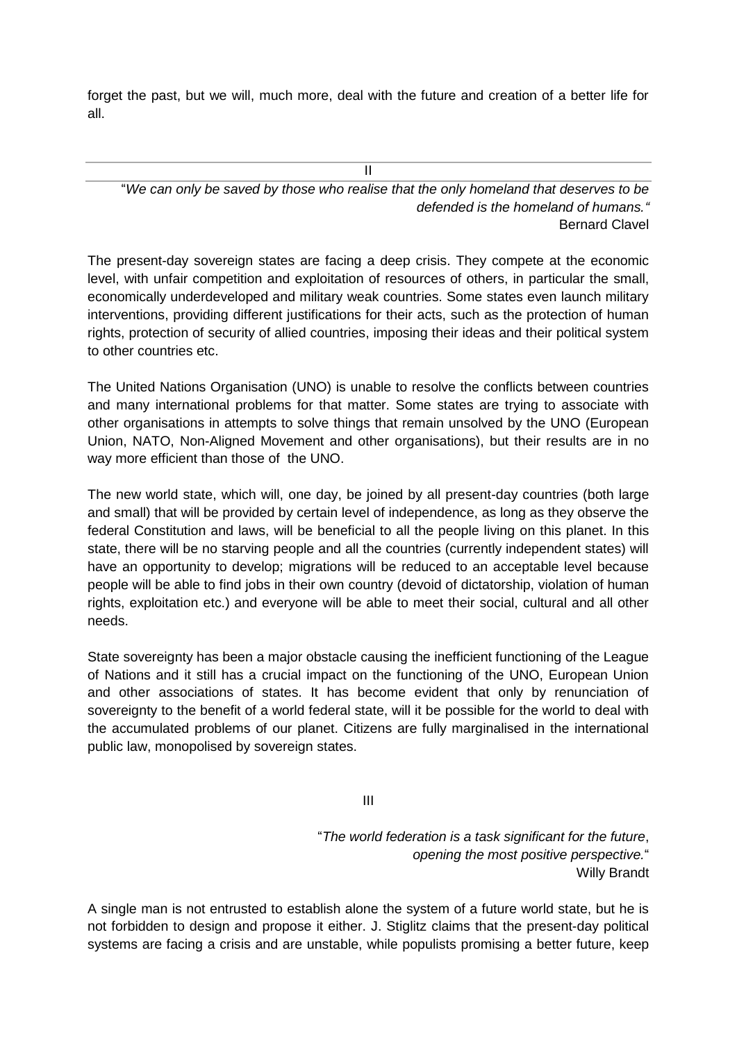forget the past, but we will, much more, deal with the future and creation of a better life for all.

II

"*We can only be saved by those who realise that the only homeland that deserves to be defended is the homeland of humans."* Bernard Clavel

The present-day sovereign states are facing a deep crisis. They compete at the economic level, with unfair competition and exploitation of resources of others, in particular the small, economically underdeveloped and military weak countries. Some states even launch military interventions, providing different justifications for their acts, such as the protection of human rights, protection of security of allied countries, imposing their ideas and their political system to other countries etc.

The United Nations Organisation (UNO) is unable to resolve the conflicts between countries and many international problems for that matter. Some states are trying to associate with other organisations in attempts to solve things that remain unsolved by the UNO (European Union, NATO, Non-Aligned Movement and other organisations), but their results are in no way more efficient than those of the UNO.

The new world state, which will, one day, be joined by all present-day countries (both large and small) that will be provided by certain level of independence, as long as they observe the federal Constitution and laws, will be beneficial to all the people living on this planet. In this state, there will be no starving people and all the countries (currently independent states) will have an opportunity to develop; migrations will be reduced to an acceptable level because people will be able to find jobs in their own country (devoid of dictatorship, violation of human rights, exploitation etc.) and everyone will be able to meet their social, cultural and all other needs.

State sovereignty has been a major obstacle causing the inefficient functioning of the League of Nations and it still has a crucial impact on the functioning of the UNO, European Union and other associations of states. It has become evident that only by renunciation of sovereignty to the benefit of a world federal state, will it be possible for the world to deal with the accumulated problems of our planet. Citizens are fully marginalised in the international public law, monopolised by sovereign states.

III

"*The world federation is a task significant for the future*, *opening the most positive perspective.*" Willy Brandt

A single man is not entrusted to establish alone the system of a future world state, but he is not forbidden to design and propose it either. J. Stiglitz claims that the present-day political systems are facing a crisis and are unstable, while populists promising a better future, keep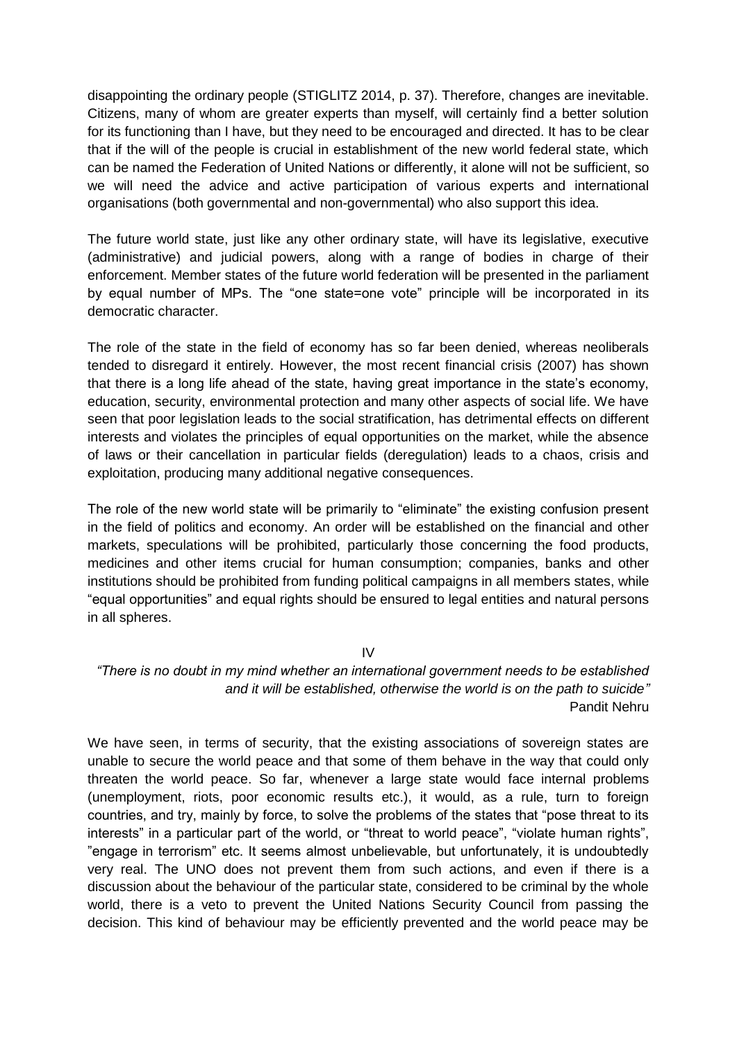disappointing the ordinary people (STIGLITZ 2014, p. 37). Therefore, changes are inevitable. Citizens, many of whom are greater experts than myself, will certainly find a better solution for its functioning than I have, but they need to be encouraged and directed. It has to be clear that if the will of the people is crucial in establishment of the new world federal state, which can be named the Federation of United Nations or differently, it alone will not be sufficient, so we will need the advice and active participation of various experts and international organisations (both governmental and non-governmental) who also support this idea.

The future world state, just like any other ordinary state, will have its legislative, executive (administrative) and judicial powers, along with a range of bodies in charge of their enforcement. Member states of the future world federation will be presented in the parliament by equal number of MPs. The "one state=one vote" principle will be incorporated in its democratic character.

The role of the state in the field of economy has so far been denied, whereas neoliberals tended to disregard it entirely. However, the most recent financial crisis (2007) has shown that there is a long life ahead of the state, having great importance in the state's economy, education, security, environmental protection and many other aspects of social life. We have seen that poor legislation leads to the social stratification, has detrimental effects on different interests and violates the principles of equal opportunities on the market, while the absence of laws or their cancellation in particular fields (deregulation) leads to a chaos, crisis and exploitation, producing many additional negative consequences.

The role of the new world state will be primarily to "eliminate" the existing confusion present in the field of politics and economy. An order will be established on the financial and other markets, speculations will be prohibited, particularly those concerning the food products, medicines and other items crucial for human consumption; companies, banks and other institutions should be prohibited from funding political campaigns in all members states, while "equal opportunities" and equal rights should be ensured to legal entities and natural persons in all spheres.

IV

*"There is no doubt in my mind whether an international government needs to be established and it will be established, otherwise the world is on the path to suicide"* Pandit Nehru

We have seen, in terms of security, that the existing associations of sovereign states are unable to secure the world peace and that some of them behave in the way that could only threaten the world peace. So far, whenever a large state would face internal problems (unemployment, riots, poor economic results etc.), it would, as a rule, turn to foreign countries, and try, mainly by force, to solve the problems of the states that "pose threat to its interests" in a particular part of the world, or "threat to world peace", "violate human rights", "engage in terrorism" etc. It seems almost unbelievable, but unfortunately, it is undoubtedly very real. The UNO does not prevent them from such actions, and even if there is a discussion about the behaviour of the particular state, considered to be criminal by the whole world, there is a veto to prevent the United Nations Security Council from passing the decision. This kind of behaviour may be efficiently prevented and the world peace may be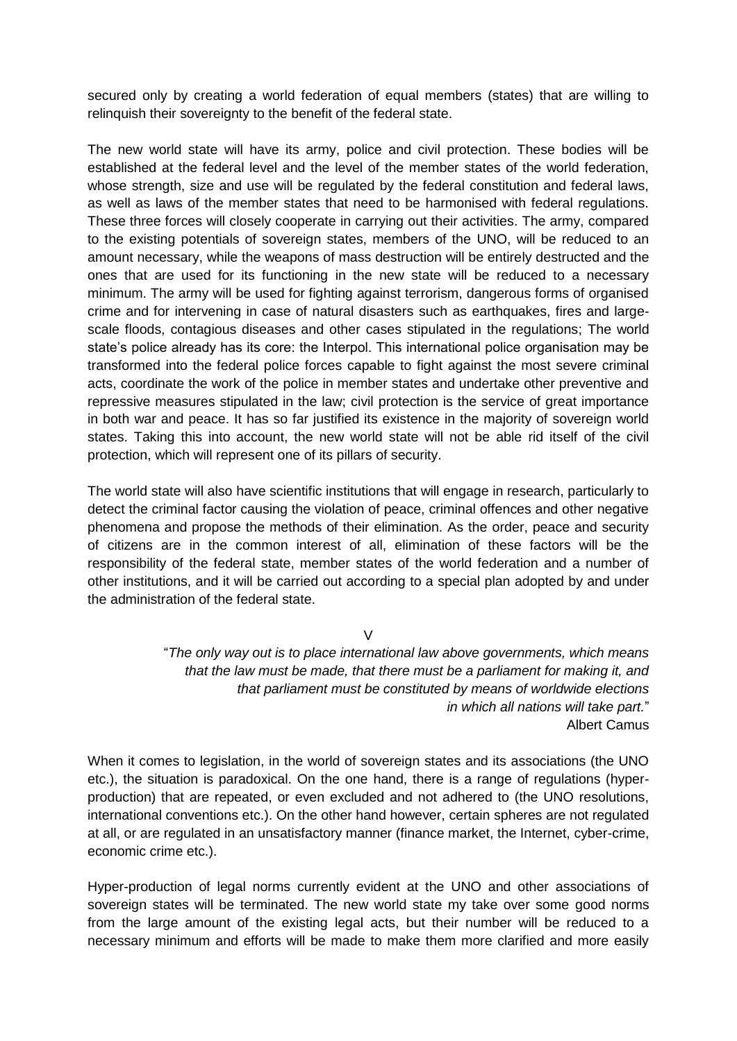secured only by creating a world federation of equal members (states) that are willing to relinquish their sovereignty to the benefit of the federal state.

The new world state will have its army, police and civil protection. These bodies will be established at the federal level and the level of the member states of the world federation, whose strength, size and use will be regulated by the federal constitution and federal laws, as well as laws of the member states that need to be harmonised with federal regulations. These three forces will closely cooperate in carrying out their activities. The army, compared to the existing potentials of sovereign states, members of the UNO, will be reduced to an amount necessary, while the weapons of mass destruction will be entirely destructed and the ones that are used for its functioning in the new state will be reduced to a necessary minimum. The army will be used for fighting against terrorism, dangerous forms of organised crime and for intervening in case of natural disasters such as earthquakes, fires and largescale floods, contagious diseases and other cases stipulated in the regulations; The world state's police already has its core: the Interpol. This international police organisation may be transformed into the federal police forces capable to fight against the most severe criminal acts, coordinate the work of the police in member states and undertake other preventive and repressive measures stipulated in the law; civil protection is the service of great importance in both war and peace. It has so far justified its existence in the majority of sovereign world states. Taking this into account, the new world state will not be able rid itself of the civil protection, which will represent one of its pillars of security.

The world state will also have scientific institutions that will engage in research, particularly to detect the criminal factor causing the violation of peace, criminal offences and other negative phenomena and propose the methods of their elimination. As the order, peace and security of citizens are in the common interest of all, elimination of these factors will be the responsibility of the federal state, member states of the world federation and a number of other institutions, and it will be carried out according to a special plan adopted by and under the administration of the federal state.

 $\vee$ 

"*The only way out is to place international law above governments, which means that the law must be made, that there must be a parliament for making it, and that parliament must be constituted by means of worldwide elections in which all nations will take part.*" Albert Camus

When it comes to legislation, in the world of sovereign states and its associations (the UNO etc.), the situation is paradoxical. On the one hand, there is a range of regulations (hyperproduction) that are repeated, or even excluded and not adhered to (the UNO resolutions, international conventions etc.). On the other hand however, certain spheres are not regulated at all, or are regulated in an unsatisfactory manner (finance market, the Internet, cyber-crime, economic crime etc.).

Hyper-production of legal norms currently evident at the UNO and other associations of sovereign states will be terminated. The new world state my take over some good norms from the large amount of the existing legal acts, but their number will be reduced to a necessary minimum and efforts will be made to make them more clarified and more easily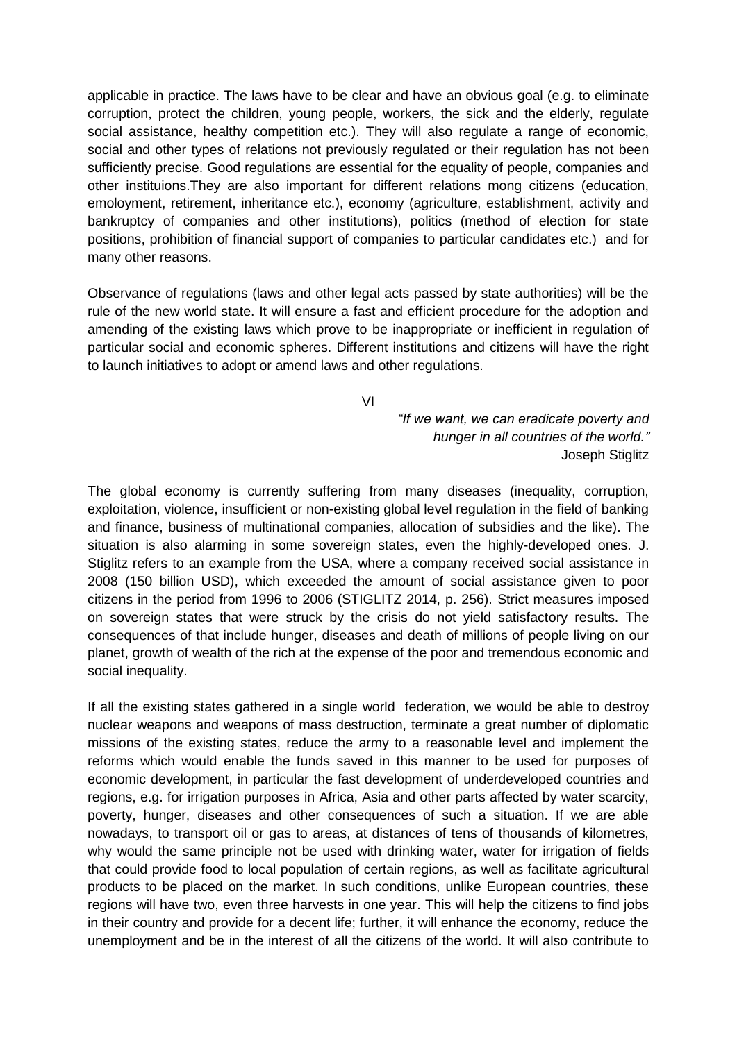applicable in practice. The laws have to be clear and have an obvious goal (e.g. to eliminate corruption, protect the children, young people, workers, the sick and the elderly, regulate social assistance, healthy competition etc.). They will also regulate a range of economic, social and other types of relations not previously regulated or their regulation has not been sufficiently precise. Good regulations are essential for the equality of people, companies and other instituions.They are also important for different relations mong citizens (education, emoloyment, retirement, inheritance etc.), economy (agriculture, establishment, activity and bankruptcy of companies and other institutions), politics (method of election for state positions, prohibition of financial support of companies to particular candidates etc.) and for many other reasons.

Observance of regulations (laws and other legal acts passed by state authorities) will be the rule of the new world state. It will ensure a fast and efficient procedure for the adoption and amending of the existing laws which prove to be inappropriate or inefficient in regulation of particular social and economic spheres. Different institutions and citizens will have the right to launch initiatives to adopt or amend laws and other regulations.

VI

*"If we want, we can eradicate poverty and hunger in all countries of the world."* Joseph Stiglitz

The global economy is currently suffering from many diseases (inequality, corruption, exploitation, violence, insufficient or non-existing global level regulation in the field of banking and finance, business of multinational companies, allocation of subsidies and the like). The situation is also alarming in some sovereign states, even the highly-developed ones. J. Stiglitz refers to an example from the USA, where a company received social assistance in 2008 (150 billion USD), which exceeded the amount of social assistance given to poor citizens in the period from 1996 to 2006 (STIGLITZ 2014, p. 256). Strict measures imposed on sovereign states that were struck by the crisis do not yield satisfactory results. The consequences of that include hunger, diseases and death of millions of people living on our planet, growth of wealth of the rich at the expense of the poor and tremendous economic and social inequality.

If all the existing states gathered in a single world federation, we would be able to destroy nuclear weapons and weapons of mass destruction, terminate a great number of diplomatic missions of the existing states, reduce the army to a reasonable level and implement the reforms which would enable the funds saved in this manner to be used for purposes of economic development, in particular the fast development of underdeveloped countries and regions, e.g. for irrigation purposes in Africa, Asia and other parts affected by water scarcity, poverty, hunger, diseases and other consequences of such a situation. If we are able nowadays, to transport oil or gas to areas, at distances of tens of thousands of kilometres, why would the same principle not be used with drinking water, water for irrigation of fields that could provide food to local population of certain regions, as well as facilitate agricultural products to be placed on the market. In such conditions, unlike European countries, these regions will have two, even three harvests in one year. This will help the citizens to find jobs in their country and provide for a decent life; further, it will enhance the economy, reduce the unemployment and be in the interest of all the citizens of the world. It will also contribute to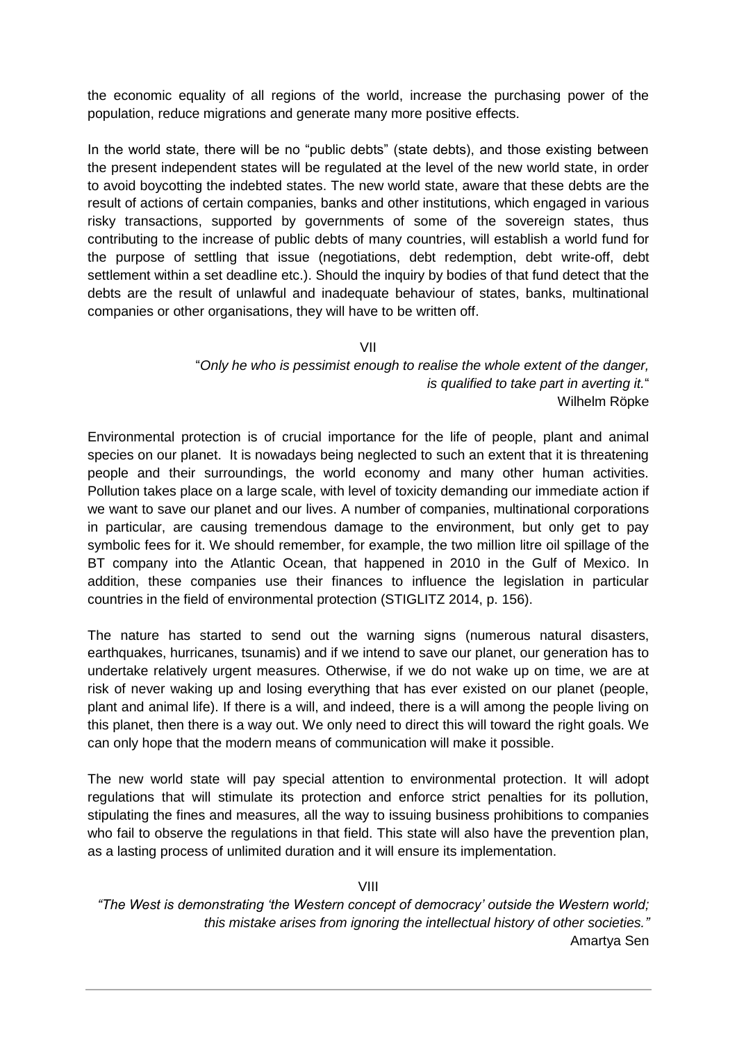the economic equality of all regions of the world, increase the purchasing power of the population, reduce migrations and generate many more positive effects.

In the world state, there will be no "public debts" (state debts), and those existing between the present independent states will be regulated at the level of the new world state, in order to avoid boycotting the indebted states. The new world state, aware that these debts are the result of actions of certain companies, banks and other institutions, which engaged in various risky transactions, supported by governments of some of the sovereign states, thus contributing to the increase of public debts of many countries, will establish a world fund for the purpose of settling that issue (negotiations, debt redemption, debt write-off, debt settlement within a set deadline etc.). Should the inquiry by bodies of that fund detect that the debts are the result of unlawful and inadequate behaviour of states, banks, multinational companies or other organisations, they will have to be written off.

VII

"*Only he who is pessimist enough to realise the whole extent of the danger, is qualified to take part in averting it.*" Wilhelm Röpke

Environmental protection is of crucial importance for the life of people, plant and animal species on our planet. It is nowadays being neglected to such an extent that it is threatening people and their surroundings, the world economy and many other human activities. Pollution takes place on a large scale, with level of toxicity demanding our immediate action if we want to save our planet and our lives. A number of companies, multinational corporations in particular, are causing tremendous damage to the environment, but only get to pay symbolic fees for it. We should remember, for example, the two million litre oil spillage of the BT company into the Atlantic Ocean, that happened in 2010 in the Gulf of Mexico. In addition, these companies use their finances to influence the legislation in particular countries in the field of environmental protection (STIGLITZ 2014, p. 156).

The nature has started to send out the warning signs (numerous natural disasters, earthquakes, hurricanes, tsunamis) and if we intend to save our planet, our generation has to undertake relatively urgent measures. Otherwise, if we do not wake up on time, we are at risk of never waking up and losing everything that has ever existed on our planet (people, plant and animal life). If there is a will, and indeed, there is a will among the people living on this planet, then there is a way out. We only need to direct this will toward the right goals. We can only hope that the modern means of communication will make it possible.

The new world state will pay special attention to environmental protection. It will adopt regulations that will stimulate its protection and enforce strict penalties for its pollution, stipulating the fines and measures, all the way to issuing business prohibitions to companies who fail to observe the regulations in that field. This state will also have the prevention plan, as a lasting process of unlimited duration and it will ensure its implementation.

VIII

*"The West is demonstrating 'the Western concept of democracy' outside the Western world; this mistake arises from ignoring the intellectual history of other societies."* Amartya Sen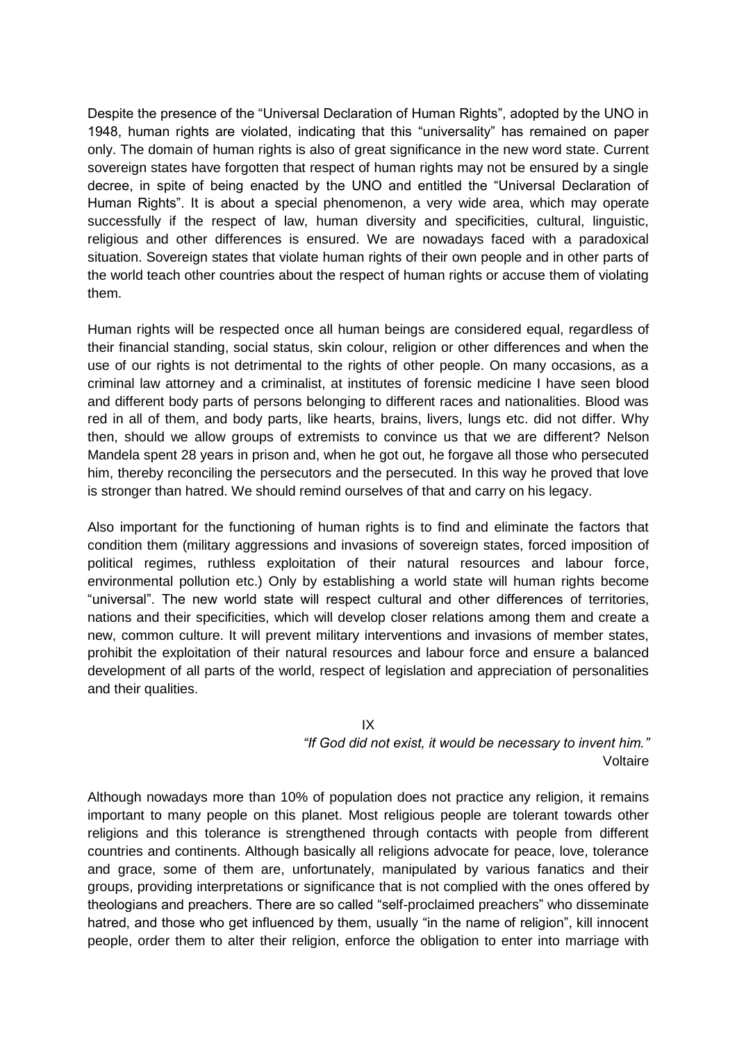Despite the presence of the "Universal Declaration of Human Rights", adopted by the UNO in 1948, human rights are violated, indicating that this "universality" has remained on paper only. The domain of human rights is also of great significance in the new word state. Current sovereign states have forgotten that respect of human rights may not be ensured by a single decree, in spite of being enacted by the UNO and entitled the "Universal Declaration of Human Rights". It is about a special phenomenon, a very wide area, which may operate successfully if the respect of law, human diversity and specificities, cultural, linguistic, religious and other differences is ensured. We are nowadays faced with a paradoxical situation. Sovereign states that violate human rights of their own people and in other parts of the world teach other countries about the respect of human rights or accuse them of violating them.

Human rights will be respected once all human beings are considered equal, regardless of their financial standing, social status, skin colour, religion or other differences and when the use of our rights is not detrimental to the rights of other people. On many occasions, as a criminal law attorney and a criminalist, at institutes of forensic medicine I have seen blood and different body parts of persons belonging to different races and nationalities. Blood was red in all of them, and body parts, like hearts, brains, livers, lungs etc. did not differ. Why then, should we allow groups of extremists to convince us that we are different? Nelson Mandela spent 28 years in prison and, when he got out, he forgave all those who persecuted him, thereby reconciling the persecutors and the persecuted. In this way he proved that love is stronger than hatred. We should remind ourselves of that and carry on his legacy.

Also important for the functioning of human rights is to find and eliminate the factors that condition them (military aggressions and invasions of sovereign states, forced imposition of political regimes, ruthless exploitation of their natural resources and labour force, environmental pollution etc.) Only by establishing a world state will human rights become "universal". The new world state will respect cultural and other differences of territories, nations and their specificities, which will develop closer relations among them and create a new, common culture. It will prevent military interventions and invasions of member states, prohibit the exploitation of their natural resources and labour force and ensure a balanced development of all parts of the world, respect of legislation and appreciation of personalities and their qualities.

IX

*"If God did not exist, it would be necessary to invent him."* Voltaire

Although nowadays more than 10% of population does not practice any religion, it remains important to many people on this planet. Most religious people are tolerant towards other religions and this tolerance is strengthened through contacts with people from different countries and continents. Although basically all religions advocate for peace, love, tolerance and grace, some of them are, unfortunately, manipulated by various fanatics and their groups, providing interpretations or significance that is not complied with the ones offered by theologians and preachers. There are so called "self-proclaimed preachers" who disseminate hatred, and those who get influenced by them, usually "in the name of religion", kill innocent people, order them to alter their religion, enforce the obligation to enter into marriage with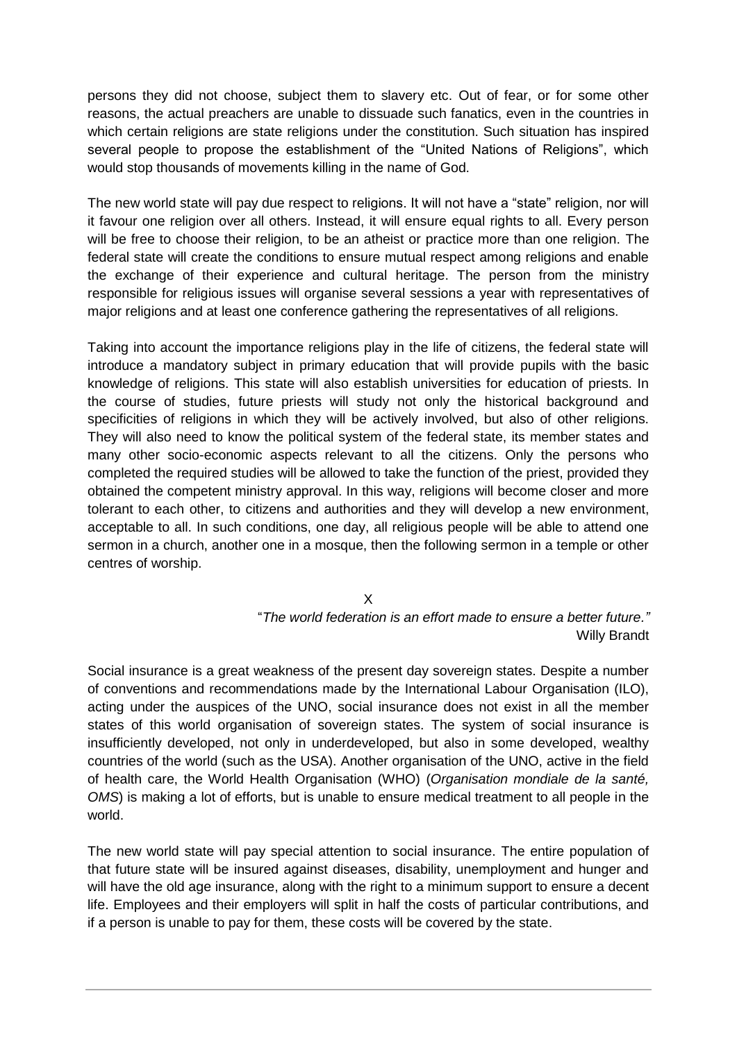persons they did not choose, subject them to slavery etc. Out of fear, or for some other reasons, the actual preachers are unable to dissuade such fanatics, even in the countries in which certain religions are state religions under the constitution. Such situation has inspired several people to propose the establishment of the "United Nations of Religions", which would stop thousands of movements killing in the name of God.

The new world state will pay due respect to religions. It will not have a "state" religion, nor will it favour one religion over all others. Instead, it will ensure equal rights to all. Every person will be free to choose their religion, to be an atheist or practice more than one religion. The federal state will create the conditions to ensure mutual respect among religions and enable the exchange of their experience and cultural heritage. The person from the ministry responsible for religious issues will organise several sessions a year with representatives of major religions and at least one conference gathering the representatives of all religions.

Taking into account the importance religions play in the life of citizens, the federal state will introduce a mandatory subject in primary education that will provide pupils with the basic knowledge of religions. This state will also establish universities for education of priests. In the course of studies, future priests will study not only the historical background and specificities of religions in which they will be actively involved, but also of other religions. They will also need to know the political system of the federal state, its member states and many other socio-economic aspects relevant to all the citizens. Only the persons who completed the required studies will be allowed to take the function of the priest, provided they obtained the competent ministry approval. In this way, religions will become closer and more tolerant to each other, to citizens and authorities and they will develop a new environment, acceptable to all. In such conditions, one day, all religious people will be able to attend one sermon in a church, another one in a mosque, then the following sermon in a temple or other centres of worship.

X

"*The world federation is an effort made to ensure a better future."* Willy Brandt

Social insurance is a great weakness of the present day sovereign states. Despite a number of conventions and recommendations made by the International Labour Organisation (ILO), acting under the auspices of the UNO, social insurance does not exist in all the member states of this world organisation of sovereign states. The system of social insurance is insufficiently developed, not only in underdeveloped, but also in some developed, wealthy countries of the world (such as the USA). Another organisation of the UNO, active in the field of health care, the World Health Organisation (WHO) (*Organisation mondiale de la santé, OMS*) is making a lot of efforts, but is unable to ensure medical treatment to all people in the world.

The new world state will pay special attention to social insurance. The entire population of that future state will be insured against diseases, disability, unemployment and hunger and will have the old age insurance, along with the right to a minimum support to ensure a decent life. Employees and their employers will split in half the costs of particular contributions, and if a person is unable to pay for them, these costs will be covered by the state.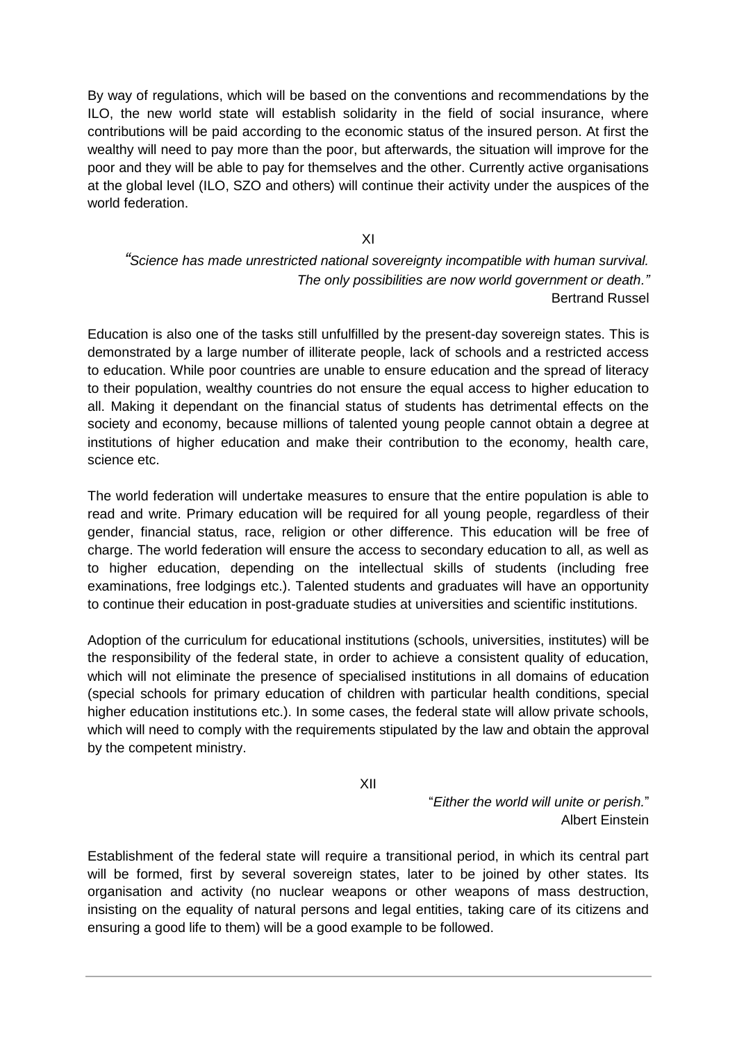By way of regulations, which will be based on the conventions and recommendations by the ILO, the new world state will establish solidarity in the field of social insurance, where contributions will be paid according to the economic status of the insured person. At first the wealthy will need to pay more than the poor, but afterwards, the situation will improve for the poor and they will be able to pay for themselves and the other. Currently active organisations at the global level (ILO, SZO and others) will continue their activity under the auspices of the world federation.

XI

*"Science has made unrestricted national sovereignty incompatible with human survival. The only possibilities are now world government or death."* Bertrand Russel

Education is also one of the tasks still unfulfilled by the present-day sovereign states. This is demonstrated by a large number of illiterate people, lack of schools and a restricted access to education. While poor countries are unable to ensure education and the spread of literacy to their population, wealthy countries do not ensure the equal access to higher education to all. Making it dependant on the financial status of students has detrimental effects on the society and economy, because millions of talented young people cannot obtain a degree at institutions of higher education and make their contribution to the economy, health care, science etc.

The world federation will undertake measures to ensure that the entire population is able to read and write. Primary education will be required for all young people, regardless of their gender, financial status, race, religion or other difference. This education will be free of charge. The world federation will ensure the access to secondary education to all, as well as to higher education, depending on the intellectual skills of students (including free examinations, free lodgings etc.). Talented students and graduates will have an opportunity to continue their education in post-graduate studies at universities and scientific institutions.

Adoption of the curriculum for educational institutions (schools, universities, institutes) will be the responsibility of the federal state, in order to achieve a consistent quality of education, which will not eliminate the presence of specialised institutions in all domains of education (special schools for primary education of children with particular health conditions, special higher education institutions etc.). In some cases, the federal state will allow private schools, which will need to comply with the requirements stipulated by the law and obtain the approval by the competent ministry.

XII

"*Either the world will unite or perish.*" Albert Einstein

Establishment of the federal state will require a transitional period, in which its central part will be formed, first by several sovereign states, later to be joined by other states. Its organisation and activity (no nuclear weapons or other weapons of mass destruction, insisting on the equality of natural persons and legal entities, taking care of its citizens and ensuring a good life to them) will be a good example to be followed.